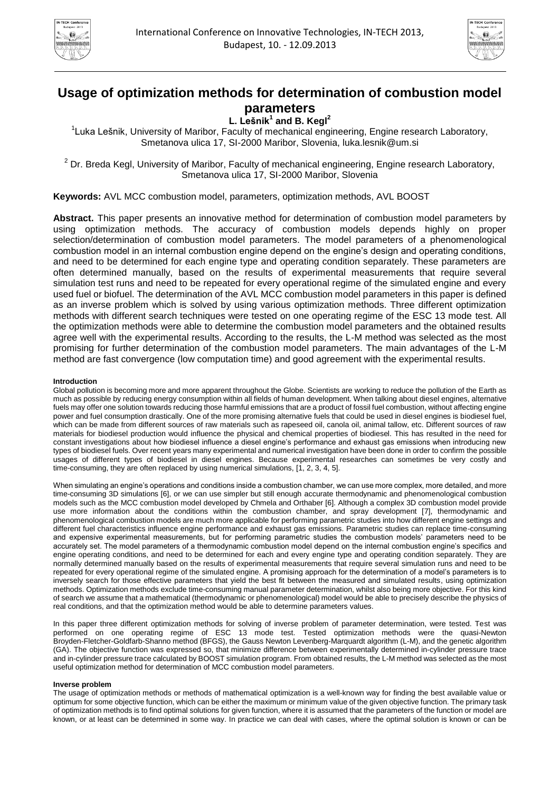



# **Usage of optimization methods for determination of combustion model parameters**

**L. Lešnik<sup>1</sup> and B. Kegl<sup>2</sup>**

<sup>1</sup>Luka Lešnik, University of Maribor, Faculty of mechanical engineering, Engine research Laboratory, Smetanova ulica 17, SI-2000 Maribor, Slovenia, luka.lesnik@um.si

<sup>2</sup> Dr. Breda Kegl, University of Maribor, Faculty of mechanical engineering, Engine research Laboratory, Smetanova ulica 17, SI-2000 Maribor, Slovenia

**Keywords:** AVL MCC combustion model, parameters, optimization methods, AVL BOOST

**Abstract.** This paper presents an innovative method for determination of combustion model parameters by using optimization methods. The accuracy of combustion models depends highly on proper selection/determination of combustion model parameters. The model parameters of a phenomenological combustion model in an internal combustion engine depend on the engine's design and operating conditions, and need to be determined for each engine type and operating condition separately. These parameters are often determined manually, based on the results of experimental measurements that require several simulation test runs and need to be repeated for every operational regime of the simulated engine and every used fuel or biofuel. The determination of the AVL MCC combustion model parameters in this paper is defined as an inverse problem which is solved by using various optimization methods. Three different optimization methods with different search techniques were tested on one operating regime of the ESC 13 mode test. All the optimization methods were able to determine the combustion model parameters and the obtained results agree well with the experimental results. According to the results, the L-M method was selected as the most promising for further determination of the combustion model parameters. The main advantages of the L-M method are fast convergence (low computation time) and good agreement with the experimental results.

# **Introduction**

Global pollution is becoming more and more apparent throughout the Globe. Scientists are working to reduce the pollution of the Earth as much as possible by reducing energy consumption within all fields of human development. When talking about diesel engines, alternative fuels may offer one solution towards reducing those harmful emissions that are a product of fossil fuel combustion, without affecting engine power and fuel consumption drastically. One of the more promising alternative fuels that could be used in diesel engines is biodiesel fuel, which can be made from different sources of raw materials such as rapeseed oil, canola oil, animal tallow, etc. Different sources of raw materials for biodiesel production would influence the physical and chemical properties of biodiesel. This has resulted in the need for constant investigations about how biodiesel influence a diesel engine's performance and exhaust gas emissions when introducing new types of biodiesel fuels. Over recent years many experimental and numerical investigation have been done in order to confirm the possible usages of different types of biodiesel in diesel engines. Because experimental researches can sometimes be very costly and time-consuming, they are often replaced by using numerical simulations, [1, 2, 3, 4, 5].

When simulating an engine's operations and conditions inside a combustion chamber, we can use more complex, more detailed, and more time-consuming 3D simulations [6], or we can use simpler but still enough accurate thermodynamic and phenomenological combustion models such as the MCC combustion model developed by Chmela and Orthaber [6]. Although a complex 3D combustion model provide use more information about the conditions within the combustion chamber, and spray development [7], thermodynamic and phenomenological combustion models are much more applicable for performing parametric studies into how different engine settings and different fuel characteristics influence engine performance and exhaust gas emissions. Parametric studies can replace time-consuming and expensive experimental measurements, but for performing parametric studies the combustion models' parameters need to be accurately set. The model parameters of a thermodynamic combustion model depend on the internal combustion engine's specifics and engine operating conditions, and need to be determined for each and every engine type and operating condition separately. They are normally determined manually based on the results of experimental measurements that require several simulation runs and need to be repeated for every operational regime of the simulated engine. A promising approach for the determination of a model's parameters is to inversely search for those effective parameters that yield the best fit between the measured and simulated results, using optimization methods. Optimization methods exclude time-consuming manual parameter determination, whilst also being more objective. For this kind of search we assume that a mathematical (thermodynamic or phenomenological) model would be able to precisely describe the physics of real conditions, and that the optimization method would be able to determine parameters values.

In this paper three different optimization methods for solving of inverse problem of parameter determination, were tested. Test was performed on one operating regime of ESC 13 mode test. Tested optimization methods were the quasi-Newton Broyden-Fletcher-Goldfarb-Shanno method (BFGS), the Gauss Newton Levenberg-Marquardt algorithm (L-M), and the genetic algorithm (GA). The objective function was expressed so, that minimize difference between experimentally determined in-cylinder pressure trace and in-cylinder pressure trace calculated by BOOST simulation program. From obtained results, the L-M method was selected as the most useful optimization method for determination of MCC combustion model parameters.

## **Inverse problem**

The usage of optimization methods or methods of mathematical optimization is a well-known way for finding the best available value or optimum for some objective function, which can be either the maximum or minimum value of the given objective function. The primary task of optimization methods is to find optimal solutions for given function, where it is assumed that the parameters of the function or model are known, or at least can be determined in some way. In practice we can deal with cases, where the optimal solution is known or can be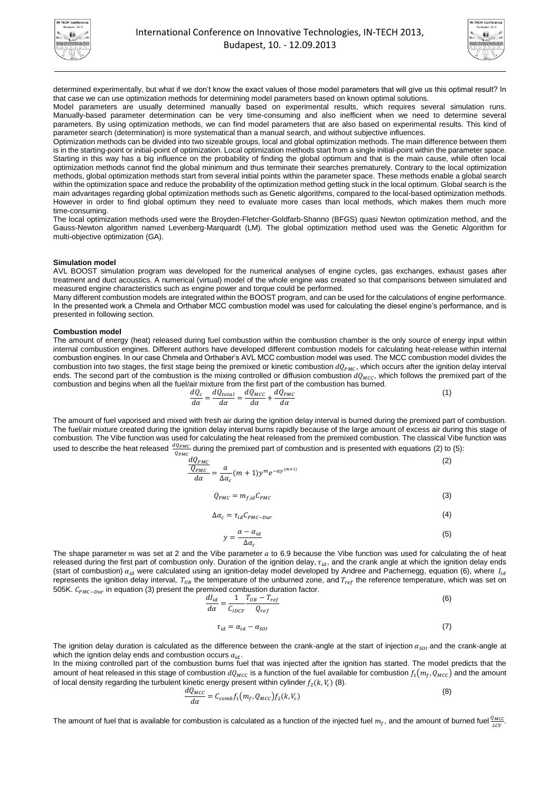



determined experimentally, but what if we don't know the exact values of those model parameters that will give us this optimal result? In that case we can use optimization methods for determining model parameters based on known optimal solutions.

Model parameters are usually determined manually based on experimental results, which requires several simulation runs. Manually-based parameter determination can be very time-consuming and also inefficient when we need to determine several parameters. By using optimization methods, we can find model parameters that are also based on experimental results. This kind of parameter search (determination) is more systematical than a manual search, and without subjective influences.

Optimization methods can be divided into two sizeable groups, local and global optimization methods. The main difference between them is in the starting-point or initial-point of optimization. Local optimization methods start from a single initial-point within the parameter space. Starting in this way has a big influence on the probability of finding the global optimum and that is the main cause, while often local optimization methods cannot find the global minimum and thus terminate their searches prematurely. Contrary to the local optimization methods, global optimization methods start from several initial points within the parameter space. These methods enable a global search within the optimization space and reduce the probability of the optimization method getting stuck in the local optimum. Global search is the main advantages regarding global optimization methods such as Genetic algorithms, compared to the local-based optimization methods. However in order to find global optimum they need to evaluate more cases than local methods, which makes them much more time-consuming.

The local optimization methods used were the Broyden-Fletcher-Goldfarb-Shanno (BFGS) quasi Newton optimization method, and the Gauss-Newton algorithm named Levenberg-Marquardt (LM). The global optimization method used was the Genetic Algorithm for multi-objective optimization (GA).

### **Simulation model**

AVL BOOST simulation program was developed for the numerical analyses of engine cycles, gas exchanges, exhaust gases after treatment and duct acoustics. A numerical (virtual) model of the whole engine was created so that comparisons between simulated and measured engine characteristics such as engine power and torque could be performed.

Many different combustion models are integrated within the BOOST program, and can be used for the calculations of engine performance. In the presented work a Chmela and Orthaber MCC combustion model was used for calculating the diesel engine's performance, and is presented in following section.

### **Combustion model**

The amount of energy (heat) released during fuel combustion within the combustion chamber is the only source of energy input within internal combustion engines. Different authors have developed different combustion models for calculating heat-release within internal combustion engines. In our case Chmela and Orthaber's AVL MCC combustion model was used. The MCC combustion model divides the combustion into two stages, the first stage being the premixed or kinetic combustion  $dQ_{PMC}$ , which occurs after the ignition delay interval ends. The second part of the combustion is the mixing controlled or diffusion combustion  $dQ_{MCC}$ , which follows the premixed part of the combustion and begins when all the fuel/air mixture from the first part of the combustion has burned.

$$
\frac{dQ_c}{d\alpha} = \frac{dQ_{total}}{d\alpha} = \frac{dQ_{MCC}}{d\alpha} + \frac{dQ_{PMC}}{d\alpha} \tag{1}
$$

The amount of fuel vaporised and mixed with fresh air during the ignition delay interval is burned during the premixed part of combustion. The fuel/air mixture created during the ignition delay interval burns rapidly because of the large amount of excess air during this stage of combustion. The Vibe function was used for calculating the heat released from the premixed combustion. The classical Vibe function was used to describe the heat released  $\frac{dQ_{PMC}}{Q_{PMC}}$  during the premixed part of combustion and is presented with equations (2) to (5):

$$
\frac{dQ_{PMC}}{d\alpha} = \frac{a}{\Delta \alpha_c} (m+1) y^m e^{-ay^{(m+1)}}
$$
\n(2)

$$
Q_{PMC} = m_{f,id} C_{PMC}
$$
 (3)

$$
\Delta \alpha_c = \tau_{id} C_{PMC-Dur} \tag{4}
$$

$$
y = \frac{\alpha - \alpha_{id}}{\Delta \alpha_c} \tag{5}
$$

The shape parameter  $m$  was set at 2 and the Vibe parameter  $a$  to 6.9 because the Vibe function was used for calculating the of heat released during the first part of combustion only. Duration of the ignition delay,  $\tau_{id}$ , and the crank angle at which the ignition delay ends (start of combustion)  $\alpha_{id}$  were calculated using an ignition-delay model developed by Andree and Pachernegg, equation (6), where  $I_{id}$ represents the ignition delay interval,  $T_{UB}$  the temperature of the unburned zone, and  $T_{ref}$  the reference temperature, which was set on 505K.  $C_{PMC-Dur}$  in equation (3) present the premixed combustion duration factor.

 $\mathbf{1}$ 

$$
\frac{dI_{id}}{d\alpha} = \frac{1}{C_{IDCF}} \frac{T_{UB} - T_{ref}}{Q_{ref}}
$$
(6)

$$
\tau_{id} = \alpha_{id} - \alpha_{SOI} \tag{7}
$$

The ignition delay duration is calculated as the difference between the crank-angle at the start of injection  $\alpha_{sol}$  and the crank-angle at which the ignition delay ends and combustion occurs  $\alpha_{id}$ .

In the mixing controlled part of the combustion burns fuel that was injected after the ignition has started. The model predicts that the amount of heat released in this stage of combustion  $dQ_{MCC}$  is a function of the fuel available for combustion  $f_1(m_f, Q_{MCC})$  and the amount of local density regarding the turbulent kinetic energy present within cylinder  $f_2(k, V_c)$  (8).

$$
\frac{dQ_{MCC}}{d\alpha} = C_{comb} f_1(m_f, Q_{MCC}) f_2(k, V_c)
$$
\n(8)

The amount of fuel that is available for combustion is calculated as a function of the injected fuel  $m_f$ , and the amount of burned fuel  $\frac{Q_{MCC}}{LCV}$ .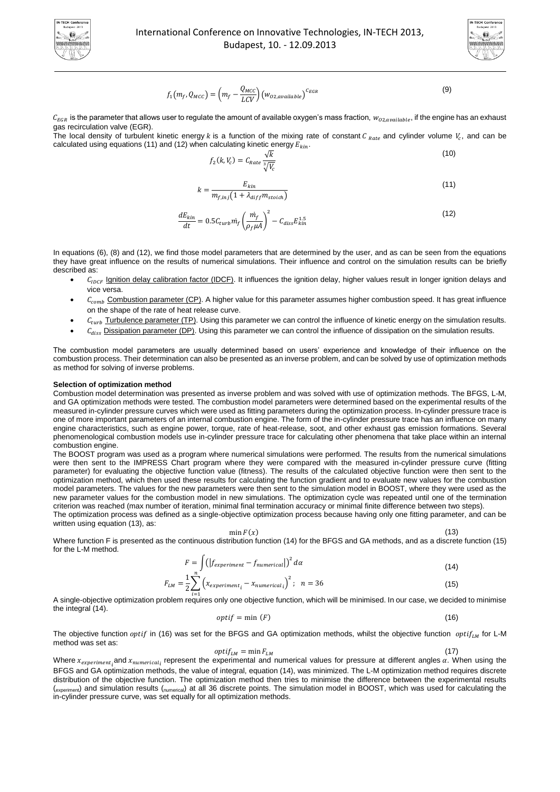



$$
f_1(m_f, Q_{MCC}) = \left(m_f - \frac{Q_{MCC}}{LCV}\right) \left(w_{O2, available}\right)^{CEGR}
$$
\n(9)

 $C_{EGR}$  is the parameter that allows user to regulate the amount of available oxygen's mass fraction,  $w_{oz, available}$ , if the engine has an exhaust gas recirculation valve (EGR).

The local density of turbulent kinetic energy k is a function of the mixing rate of constant C  $_{Rate}$  and cylinder volume  $V_c$ , and can be calculated using equations (11) and (12) when calculating kinetic energy  $E_{kin}$ .

$$
f_2(k, V_c) = C_{Rate} \frac{\sqrt{k}}{\sqrt[3]{V_c}}
$$
\n(10)

$$
k = \frac{E_{kin}}{m_{f,inj}(1 + \lambda_{diff} m_{stoich})}
$$
(11)

$$
\frac{dE_{kin}}{dt} = 0.5 C_{turb} \dot{m}_f \left(\frac{\dot{m}_f}{\rho_f \mu A}\right)^2 - C_{diss} E_{kin}^{1.5}
$$
\n(12)

In equations (6), (8) and (12), we find those model parameters that are determined by the user, and as can be seen from the equations they have great influence on the results of numerical simulations. Their influence and control on the simulation results can be briefly described as:

- $C_{IDCF}$  Ignition delay calibration factor (IDCF). It influences the ignition delay, higher values result in longer ignition delays and vice versa.
- $C_{comb}$  Combustion parameter (CP). A higher value for this parameter assumes higher combustion speed. It has great influence on the shape of the rate of heat release curve.
- $C_{turb}$  Turbulence parameter (TP). Using this parameter we can control the influence of kinetic energy on the simulation results.
- $C_{diss}$  Dissipation parameter (DP). Using this parameter we can control the influence of dissipation on the simulation results.

The combustion model parameters are usually determined based on users' experience and knowledge of their influence on the combustion process. Their determination can also be presented as an inverse problem, and can be solved by use of optimization methods as method for solving of inverse problems.

#### **Selection of optimization method**

Combustion model determination was presented as inverse problem and was solved with use of optimization methods. The BFGS, L-M, and GA optimization methods were tested. The combustion model parameters were determined based on the experimental results of the measured in-cylinder pressure curves which were used as fitting parameters during the optimization process. In-cylinder pressure trace is one of more important parameters of an internal combustion engine. The form of the in-cylinder pressure trace has an influence on many engine characteristics, such as engine power, torque, rate of heat-release, soot, and other exhaust gas emission formations. Several phenomenological combustion models use in-cylinder pressure trace for calculating other phenomena that take place within an internal combustion engine.

The BOOST program was used as a program where numerical simulations were performed. The results from the numerical simulations were then sent to the IMPRESS Chart program where they were compared with the measured in-cylinder pressure curve (fitting parameter) for evaluating the objective function value (fitness). The results of the calculated objective function were then sent to the optimization method, which then used these results for calculating the function gradient and to evaluate new values for the combustion model parameters. The values for the new parameters were then sent to the simulation model in BOOST, where they were used as the new parameter values for the combustion model in new simulations. The optimization cycle was repeated until one of the termination criterion was reached (max number of iteration, minimal final termination accuracy or minimal finite difference between two steps).

The optimization process was defined as a single-objective optimization process because having only one fitting parameter, and can be written using equation (13), as:

 $\min F(x)$ 

Where function F is presented as the continuous distribution function (14) for the BFGS and GA methods, and as a discrete function (15) for the L-M method.

$$
F = \int \left( \left| f_{experiment} - f_{numerical} \right| \right)^2 d\alpha \tag{14}
$$

$$
F_{LM} = \frac{1}{2} \sum_{i=1}^{N} \left( x_{experiment_i} - x_{numerical_i} \right)^2; \quad n = 36 \tag{15}
$$

A single-objective optimization problem requires only one objective function, which will be minimised. In our case, we decided to minimise the integral (14).

$$
optif = \min(F) \tag{16}
$$

The objective function *optif* in (16) was set for the BFGS and GA optimization methods, whilst the objective function *optif<sub>lM</sub>* for L-M method was set as:

$$
optif_{LM} = \min F_{LM} \tag{17}
$$

Where  $x_{experiment}$ , and  $x_{numerical}$ , represent the experimental and numerical values for pressure at different angles  $\alpha$ . When using the BFGS and GA optimization methods, the value of integral, equation (14), was minimized. The L-M optimization method requires discrete distribution of the objective function. The optimization method then tries to minimise the difference between the experimental results (experiment) and simulation results (numerical) at all 36 discrete points. The simulation model in BOOST, which was used for calculating the in-cylinder pressure curve, was set equally for all optimization methods.